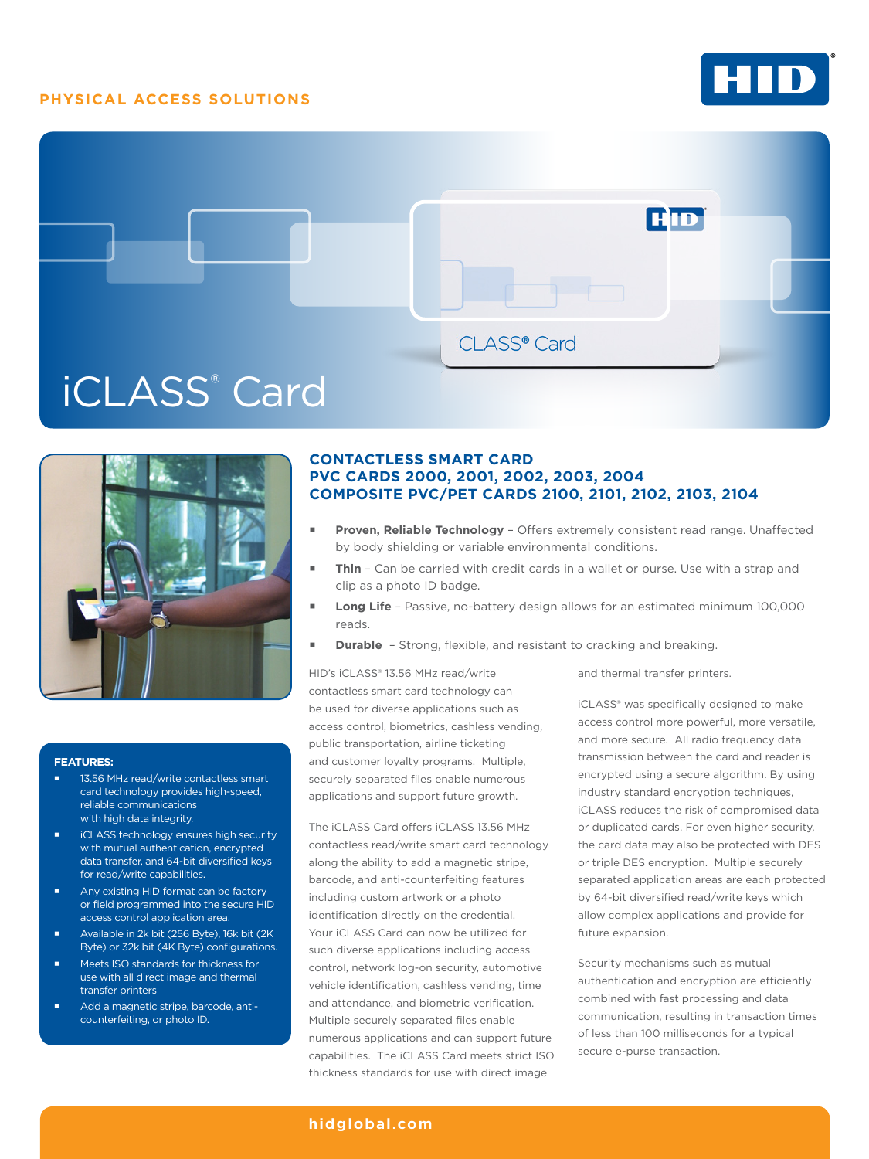## **PHYSICAL ACCESS SOLUTIONS**







#### **FEATURES:**

- 13.56 MHz read/write contactless smart card technology provides high-speed, reliable communications with high data integrity.
- iCLASS technology ensures high security with mutual authentication, encrypted data transfer, and 64-bit diversified keys for read/write capabilities.
- Any existing HID format can be factory or field programmed into the secure HID access control application area.
- Available in 2k bit (256 Byte), 16k bit (2K Byte) or 32k bit (4K Byte) configurations.
- Meets ISO standards for thickness for use with all direct image and thermal transfer printers
- Add a magnetic stripe, barcode, anticounterfeiting, or photo ID.

# **CONTACTLESS SMART CARD PVC CARDS 2000, 2001, 2002, 2003, 2004 COMPOSITE PVC/PET CARDS 2100, 2101, 2102, 2103, 2104**

- **Proven, Reliable Technology**  Offers extremely consistent read range. Unaffected by body shielding or variable environmental conditions.
- **Thin**  Can be carried with credit cards in a wallet or purse. Use with a strap and clip as a photo ID badge.
- **Long Life**  Passive, no-battery design allows for an estimated minimum 100,000 reads.
- **Durable** Strong, flexible, and resistant to cracking and breaking.

HID's iCLASS® 13.56 MHz read/write contactless smart card technology can be used for diverse applications such as access control, biometrics, cashless vending, public transportation, airline ticketing and customer loyalty programs. Multiple, securely separated files enable numerous applications and support future growth.

The iCLASS Card offers iCLASS 13.56 MHz contactless read/write smart card technology along the ability to add a magnetic stripe, barcode, and anti-counterfeiting features including custom artwork or a photo identification directly on the credential. Your iCLASS Card can now be utilized for such diverse applications including access control, network log-on security, automotive vehicle identification, cashless vending, time and attendance, and biometric verification. Multiple securely separated files enable numerous applications and can support future capabilities. The iCLASS Card meets strict ISO thickness standards for use with direct image

and thermal transfer printers.

iCLASS® was specifically designed to make access control more powerful, more versatile, and more secure. All radio frequency data transmission between the card and reader is encrypted using a secure algorithm. By using industry standard encryption techniques, iCLASS reduces the risk of compromised data or duplicated cards. For even higher security, the card data may also be protected with DES or triple DES encryption. Multiple securely separated application areas are each protected by 64-bit diversified read/write keys which allow complex applications and provide for future expansion.

Security mechanisms such as mutual authentication and encryption are efficiently combined with fast processing and data communication, resulting in transaction times of less than 100 milliseconds for a typical secure e-purse transaction.